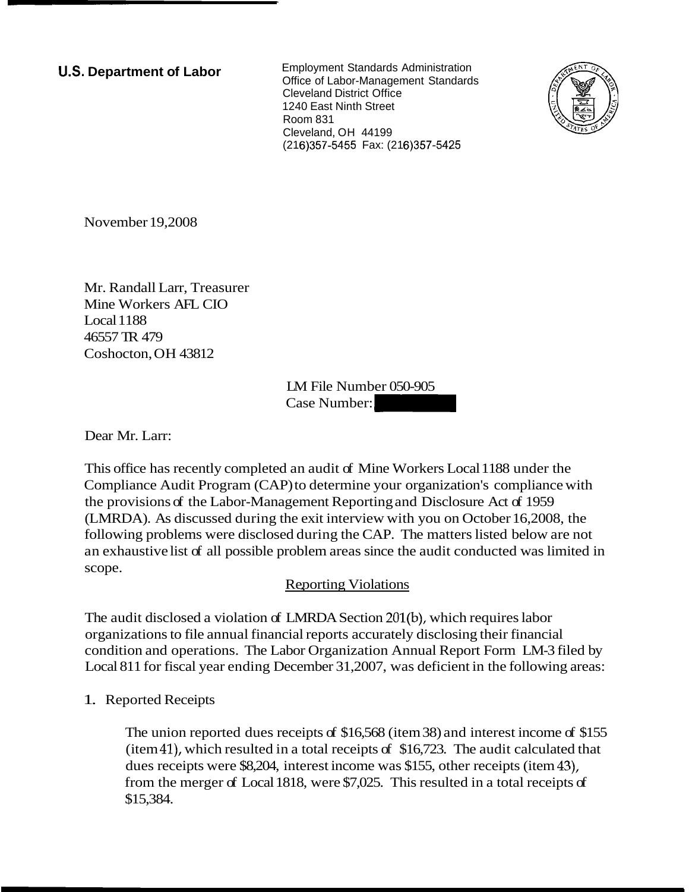**U.S. Department of Labor Employment Standards Administration** Office of Labor-Management Standards Cleveland District Office 1240 East Ninth Street Room 831 Cleveland, OH 44199 (216)357-5455 Fax: (216)357-5425



November 19,2008

Mr. Randall Larr, Treasurer Mine Workers AFL CIO Local 1188 46557 TR 479 Coshocton, OH 43812

LM File Number 050-905 Case Number: -

Dear Mr. Larr:

This office has recently completed an audit of Mine Workers Local 1188 under the Compliance Audit Program (CAP) to determine your organization's compliance with the provisions of the Labor-Management Reporting and Disclosure Act of 1959 (LMRDA). As discussed during the exit interview with you on October 16,2008, the following problems were disclosed during the CAP. The matters listed below are not an exhaustive list of all possible problem areas since the audit conducted was limited in scope.

## **Reporting Violations**

The audit disclosed a violation of LMRDA Section 201(b), which requires labor organizations to file annual financial reports accurately disclosing their financial condition and operations. The Labor Organization Annual Report Form LM-3 filed by Local 811 for fiscal year ending December 31,2007, was deficient in the following areas:

1. Reported Receipts

The union reported dues receipts of \$16,568 (item 38) and interest income of \$155 (item 41), which resulted in a total receipts of \$16,723. The audit calculated that dues receipts were \$8,204, interest income was \$155, other receipts (item 43), from the merger of Local 1818, were \$7,025. This resulted in a total receipts of \$15,384.